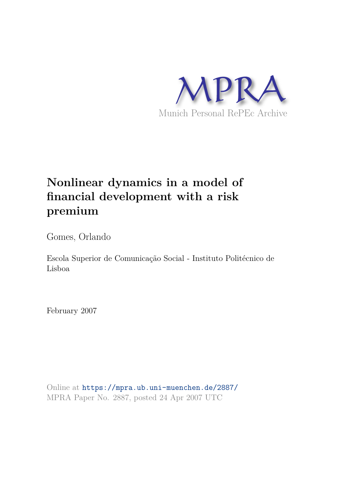

## **Nonlinear dynamics in a model of financial development with a risk premium**

Gomes, Orlando

Escola Superior de Comunicação Social - Instituto Politécnico de Lisboa

February 2007

Online at https://mpra.ub.uni-muenchen.de/2887/ MPRA Paper No. 2887, posted 24 Apr 2007 UTC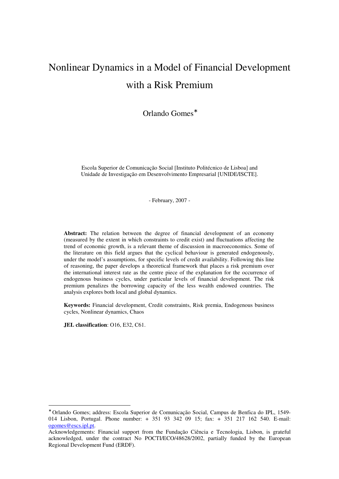# Nonlinear Dynamics in a Model of Financial Development with a Risk Premium

Orlando Gomes<sup>\*</sup>

Escola Superior de Comunicação Social [Instituto Politécnico de Lisboa] and Unidade de Investigação em Desenvolvimento Empresarial [UNIDE/ISCTE].

- February, 2007 -

**Abstract:** The relation between the degree of financial development of an economy (measured by the extent in which constraints to credit exist) and fluctuations affecting the trend of economic growth, is a relevant theme of discussion in macroeconomics. Some of the literature on this field argues that the cyclical behaviour is generated endogenously, under the model's assumptions, for specific levels of credit availability. Following this line of reasoning, the paper develops a theoretical framework that places a risk premium over the international interest rate as the centre piece of the explanation for the occurrence of endogenous business cycles, under particular levels of financial development. The risk premium penalizes the borrowing capacity of the less wealth endowed countries. The analysis explores both local and global dynamics.

**Keywords:** Financial development, Credit constraints, Risk premia, Endogenous business cycles, Nonlinear dynamics, Chaos

**JEL classification**: O16, E32, C61.

 $\overline{a}$ 

<sup>∗</sup> Orlando Gomes; address: Escola Superior de Comunicação Social, Campus de Benfica do IPL, 1549- 014 Lisbon, Portugal. Phone number: + 351 93 342 09 15; fax: + 351 217 162 540. E-mail: ogomes@escs.ipl.pt.

Acknowledgements: Financial support from the Fundação Ciência e Tecnologia, Lisbon, is grateful acknowledged, under the contract No POCTI/ECO/48628/2002, partially funded by the European Regional Development Fund (ERDF).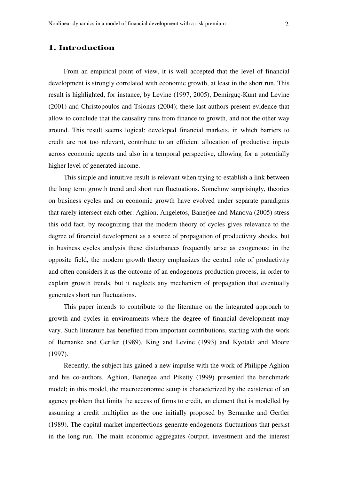## **1. Introduction**

From an empirical point of view, it is well accepted that the level of financial development is strongly correlated with economic growth, at least in the short run. This result is highlighted, for instance, by Levine (1997, 2005), Demirguç-Kunt and Levine (2001) and Christopoulos and Tsionas (2004); these last authors present evidence that allow to conclude that the causality runs from finance to growth, and not the other way around. This result seems logical: developed financial markets, in which barriers to credit are not too relevant, contribute to an efficient allocation of productive inputs across economic agents and also in a temporal perspective, allowing for a potentially higher level of generated income.

This simple and intuitive result is relevant when trying to establish a link between the long term growth trend and short run fluctuations. Somehow surprisingly, theories on business cycles and on economic growth have evolved under separate paradigms that rarely intersect each other. Aghion, Angeletos, Banerjee and Manova (2005) stress this odd fact, by recognizing that the modern theory of cycles gives relevance to the degree of financial development as a source of propagation of productivity shocks, but in business cycles analysis these disturbances frequently arise as exogenous; in the opposite field, the modern growth theory emphasizes the central role of productivity and often considers it as the outcome of an endogenous production process, in order to explain growth trends, but it neglects any mechanism of propagation that eventually generates short run fluctuations.

This paper intends to contribute to the literature on the integrated approach to growth and cycles in environments where the degree of financial development may vary. Such literature has benefited from important contributions, starting with the work of Bernanke and Gertler (1989), King and Levine (1993) and Kyotaki and Moore (1997).

Recently, the subject has gained a new impulse with the work of Philippe Aghion and his co-authors. Aghion, Banerjee and Piketty (1999) presented the benchmark model; in this model, the macroeconomic setup is characterized by the existence of an agency problem that limits the access of firms to credit, an element that is modelled by assuming a credit multiplier as the one initially proposed by Bernanke and Gertler (1989). The capital market imperfections generate endogenous fluctuations that persist in the long run. The main economic aggregates (output, investment and the interest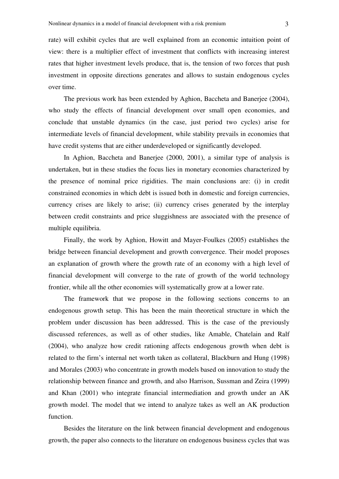rate) will exhibit cycles that are well explained from an economic intuition point of view: there is a multiplier effect of investment that conflicts with increasing interest rates that higher investment levels produce, that is, the tension of two forces that push investment in opposite directions generates and allows to sustain endogenous cycles over time.

The previous work has been extended by Aghion, Baccheta and Banerjee (2004), who study the effects of financial development over small open economies, and conclude that unstable dynamics (in the case, just period two cycles) arise for intermediate levels of financial development, while stability prevails in economies that have credit systems that are either underdeveloped or significantly developed.

In Aghion, Baccheta and Banerjee (2000, 2001), a similar type of analysis is undertaken, but in these studies the focus lies in monetary economies characterized by the presence of nominal price rigidities. The main conclusions are: (i) in credit constrained economies in which debt is issued both in domestic and foreign currencies, currency crises are likely to arise; (ii) currency crises generated by the interplay between credit constraints and price sluggishness are associated with the presence of multiple equilibria.

Finally, the work by Aghion, Howitt and Mayer-Foulkes (2005) establishes the bridge between financial development and growth convergence. Their model proposes an explanation of growth where the growth rate of an economy with a high level of financial development will converge to the rate of growth of the world technology frontier, while all the other economies will systematically grow at a lower rate.

The framework that we propose in the following sections concerns to an endogenous growth setup. This has been the main theoretical structure in which the problem under discussion has been addressed. This is the case of the previously discussed references, as well as of other studies, like Amable, Chatelain and Ralf (2004), who analyze how credit rationing affects endogenous growth when debt is related to the firm's internal net worth taken as collateral, Blackburn and Hung (1998) and Morales (2003) who concentrate in growth models based on innovation to study the relationship between finance and growth, and also Harrison, Sussman and Zeira (1999) and Khan (2001) who integrate financial intermediation and growth under an AK growth model. The model that we intend to analyze takes as well an AK production function.

Besides the literature on the link between financial development and endogenous growth, the paper also connects to the literature on endogenous business cycles that was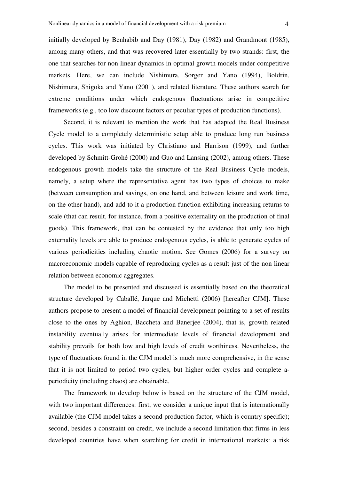initially developed by Benhabib and Day (1981), Day (1982) and Grandmont (1985), among many others, and that was recovered later essentially by two strands: first, the one that searches for non linear dynamics in optimal growth models under competitive markets. Here, we can include Nishimura, Sorger and Yano (1994), Boldrin, Nishimura, Shigoka and Yano (2001), and related literature. These authors search for extreme conditions under which endogenous fluctuations arise in competitive frameworks (e.g., too low discount factors or peculiar types of production functions).

Second, it is relevant to mention the work that has adapted the Real Business Cycle model to a completely deterministic setup able to produce long run business cycles. This work was initiated by Christiano and Harrison (1999), and further developed by Schmitt-Grohé (2000) and Guo and Lansing (2002), among others. These endogenous growth models take the structure of the Real Business Cycle models, namely, a setup where the representative agent has two types of choices to make (between consumption and savings, on one hand, and between leisure and work time, on the other hand), and add to it a production function exhibiting increasing returns to scale (that can result, for instance, from a positive externality on the production of final goods). This framework, that can be contested by the evidence that only too high externality levels are able to produce endogenous cycles, is able to generate cycles of various periodicities including chaotic motion. See Gomes (2006) for a survey on macroeconomic models capable of reproducing cycles as a result just of the non linear relation between economic aggregates.

The model to be presented and discussed is essentially based on the theoretical structure developed by Caballé, Jarque and Michetti (2006) [hereafter CJM]. These authors propose to present a model of financial development pointing to a set of results close to the ones by Aghion, Baccheta and Banerjee (2004), that is, growth related instability eventually arises for intermediate levels of financial development and stability prevails for both low and high levels of credit worthiness. Nevertheless, the type of fluctuations found in the CJM model is much more comprehensive, in the sense that it is not limited to period two cycles, but higher order cycles and complete aperiodicity (including chaos) are obtainable.

The framework to develop below is based on the structure of the CJM model, with two important differences: first, we consider a unique input that is internationally available (the CJM model takes a second production factor, which is country specific); second, besides a constraint on credit, we include a second limitation that firms in less developed countries have when searching for credit in international markets: a risk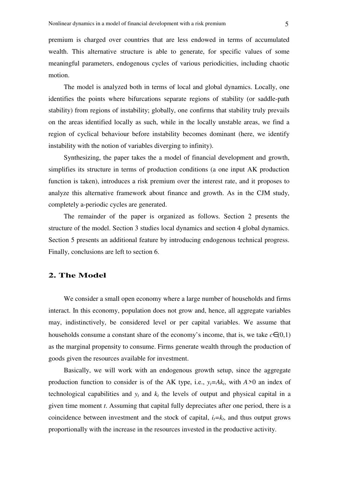premium is charged over countries that are less endowed in terms of accumulated wealth. This alternative structure is able to generate, for specific values of some meaningful parameters, endogenous cycles of various periodicities, including chaotic motion.

The model is analyzed both in terms of local and global dynamics. Locally, one identifies the points where bifurcations separate regions of stability (or saddle-path stability) from regions of instability; globally, one confirms that stability truly prevails on the areas identified locally as such, while in the locally unstable areas, we find a region of cyclical behaviour before instability becomes dominant (here, we identify instability with the notion of variables diverging to infinity).

Synthesizing, the paper takes the a model of financial development and growth, simplifies its structure in terms of production conditions (a one input AK production function is taken), introduces a risk premium over the interest rate, and it proposes to analyze this alternative framework about finance and growth. As in the CJM study, completely a-periodic cycles are generated.

The remainder of the paper is organized as follows. Section 2 presents the structure of the model. Section 3 studies local dynamics and section 4 global dynamics. Section 5 presents an additional feature by introducing endogenous technical progress. Finally, conclusions are left to section 6.

#### **2. The Model**

We consider a small open economy where a large number of households and firms interact. In this economy, population does not grow and, hence, all aggregate variables may, indistinctively, be considered level or per capital variables. We assume that households consume a constant share of the economy's income, that is, we take  $c \in (0,1)$ as the marginal propensity to consume. Firms generate wealth through the production of goods given the resources available for investment.

Basically, we will work with an endogenous growth setup, since the aggregate production function to consider is of the AK type, i.e.,  $y_t = Ak_t$ , with  $A>0$  an index of technological capabilities and  $y_t$  and  $k_t$  the levels of output and physical capital in a given time moment *t*. Assuming that capital fully depreciates after one period, there is a coincidence between investment and the stock of capital,  $i_t = k_t$ , and thus output grows proportionally with the increase in the resources invested in the productive activity.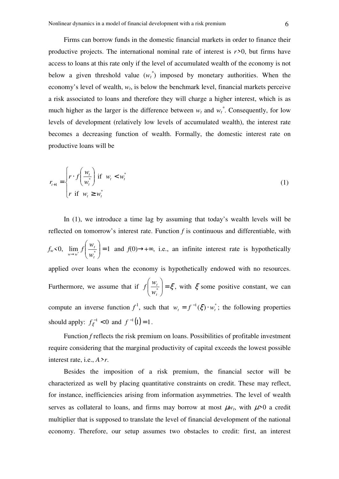Firms can borrow funds in the domestic financial markets in order to finance their productive projects. The international nominal rate of interest is *r>*0, but firms have access to loans at this rate only if the level of accumulated wealth of the economy is not below a given threshold value  $(w_t^*)$  imposed by monetary authorities. When the economy's level of wealth, *w<sup>t</sup>* , is below the benchmark level, financial markets perceive a risk associated to loans and therefore they will charge a higher interest, which is as much higher as the larger is the difference between  $w_t$  and  $w_t^*$ . Consequently, for low levels of development (relatively low levels of accumulated wealth), the interest rate becomes a decreasing function of wealth. Formally, the domestic interest rate on productive loans will be

$$
r_{t+1} = \begin{cases} r \cdot f\left(\frac{w_t}{w_t^*}\right) & \text{if } w_t < w_t^* \\ r & \text{if } w_t \ge w_t^* \end{cases} \tag{1}
$$

In (1), we introduce a time lag by assuming that today's wealth levels will be reflected on tomorrow's interest rate. Function *f* is continuous and differentiable, with  $f_w < 0$ ,  $\lim_{w \to w^*} f \left| \frac{w_t}{w^*} \right| = 1$ J  $\backslash$  $\overline{\phantom{a}}$ l ſ  $\rightarrow w^*$   $\left\langle W_t\right\rangle$ *t*  $w \rightarrow w^*$ <sup>\*</sup>  $\left\langle W \right\rangle$  $f\left(\frac{w_t}{w}\right) = 1$  and  $f(0) \rightarrow +\infty$ , i.e., an infinite interest rate is hypothetically applied over loans when the economy is hypothetically endowed with no resources. Furthermore, we assume that if  $f\left|\frac{W_t}{W}\right| = \xi$ J  $\backslash$  $\overline{\phantom{a}}$ l ſ \* *t t w w*  $f\left|\frac{dr}{dr}\right| = \xi$ , with  $\xi$  some positive constant, we can compute an inverse function  $f^1$ , such that  $w_t = f^{-1}(\xi) \cdot w_t^*$ ; the following properties should apply:  $f_{\xi}^{-1} < 0$  $f_{\xi}^{-1}$  < 0 and  $f^{-1}(1)$  = 1.

Function *f* reflects the risk premium on loans. Possibilities of profitable investment require considering that the marginal productivity of capital exceeds the lowest possible interest rate, i.e., *A>r*.

Besides the imposition of a risk premium, the financial sector will be characterized as well by placing quantitative constraints on credit. These may reflect, for instance, inefficiencies arising from information asymmetries. The level of wealth serves as collateral to loans, and firms may borrow at most  $\mu w_t$ , with  $\mu > 0$  a credit multiplier that is supposed to translate the level of financial development of the national economy. Therefore, our setup assumes two obstacles to credit: first, an interest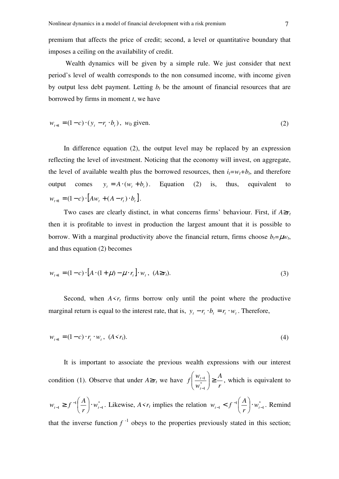premium that affects the price of credit; second, a level or quantitative boundary that imposes a ceiling on the availability of credit.

 Wealth dynamics will be given by a simple rule. We just consider that next period's level of wealth corresponds to the non consumed income, with income given by output less debt payment. Letting  $b_t$  be the amount of financial resources that are borrowed by firms in moment *t*, we have

$$
w_{t+1} = (1 - c) \cdot (y_t - r_t \cdot b_t), \ \ w_0 \text{ given.}
$$
 (2)

In difference equation (2), the output level may be replaced by an expression reflecting the level of investment. Noticing that the economy will invest, on aggregate, the level of available wealth plus the borrowed resources, then  $i_t = w_t + b_t$ , and therefore output comes  $y_t = A \cdot (w_t + b_t)$ . Equation (2) is, thus, equivalent to  $w_{t+1} = (1-c) \cdot [Aw_t + (A - r_t) \cdot b_t].$ 

Two cases are clearly distinct, in what concerns firms' behaviour. First, if  $A \ge r_t$ then it is profitable to invest in production the largest amount that it is possible to borrow. With a marginal productivity above the financial return, firms choose  $b_t = \mu w_t$ , and thus equation (2) becomes

$$
w_{t+1} = (1 - c) \cdot [A \cdot (1 + \mu) - \mu \cdot r_t] \cdot w_t, \ (A \ge r_t). \tag{3}
$$

Second, when  $A \leq r_t$  firms borrow only until the point where the productive marginal return is equal to the interest rate, that is,  $y_t - r_t \cdot b_t = r_t \cdot w_t$ . Therefore,

$$
w_{t+1} = (1 - c) \cdot r_t \cdot w_t, \ (A \le r_t). \tag{4}
$$

It is important to associate the previous wealth expressions with our interest condition (1). Observe that under  $A \ge r_t$  we have *r A w w f t* <sup>t-1</sup>/∗ ≥ J  $\backslash$  $\overline{\phantom{a}}$ l ſ − − \* 1  $\frac{1}{2}$   $\geq$   $\frac{1}{2}$ , which is equivalent to

\* 1 1  $1 - J$   $W_{t-}$  $_{-1} \geq f^{-1} \left( \frac{A}{r} \right)$ .  $\left(\frac{A}{A}\right)$ l ſ  $f_{t-1} \geq f^{-1} \left( \frac{H}{r} \right) \cdot w_t$  $w_{t-1} \ge f^{-1} \left( \frac{A}{n} \right) \cdot w_{t-1}^*$ . Likewise,  $A \le r_t$  implies the relation  $w_{t-1} \le f^{-1} \left( \frac{A}{n} \right) \cdot w_{t-1}^*$ 1  $1 \sim J$  |  $W_{t-1}$  $_{-1} < f^{-1} \left(\frac{A}{r}\right)$ .  $\left(\frac{A}{A}\right)$ l ſ  $f_{t-1} < f^{-1} \left( \frac{r}{r} \right) \cdot w_t$  $w_{t-1} < f^{-1}(\frac{A}{\cdot}) \cdot w_{t-1}^*$ . Remind that the inverse function  $f^{-1}$  obeys to the properties previously stated in this section;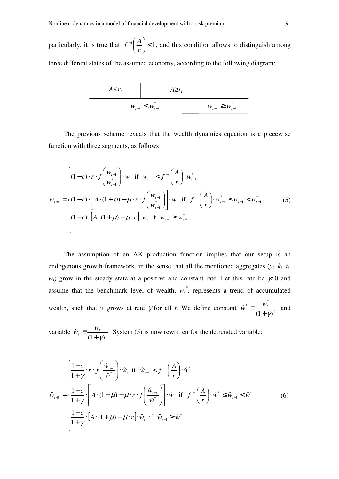particularly, it is true that  $f^{-1} \begin{vmatrix} 1 \\ -1 \end{vmatrix} < 1$ J  $\begin{pmatrix} A \\ - \end{pmatrix}$ l  $-1$ *r*  $f^{-1}\left(\frac{A}{A}\right)$  < 1, and this condition allows to distinguish among three different states of the assumed economy, according to the following diagram:

| $A \leq r_t$          | $A \geq r_t$             |  |
|-----------------------|--------------------------|--|
| $W_{t-1} < W_{t-1}^*$ | $W_{t-1} \geq W_{t-1}^*$ |  |

The previous scheme reveals that the wealth dynamics equation is a piecewise function with three segments, as follows

$$
w_{t+1} = \begin{cases} (1-c) \cdot r \cdot f\left(\frac{w_{t-1}}{w_{t-1}^*}\right) \cdot w_t & \text{if } w_{t-1} < f^{-1}\left(\frac{A}{r}\right) \cdot w_{t-1}^* \\ (1-c) \cdot \left[A \cdot (1+\mu) - \mu \cdot r \cdot f\left(\frac{w_{t-1}}{w_{t-1}^*}\right)\right] \cdot w_t & \text{if } f^{-1}\left(\frac{A}{r}\right) \cdot w_{t-1}^* \le w_{t-1} < w_{t-1}^* \\ (1-c) \cdot \left[A \cdot (1+\mu) - \mu \cdot r\right] \cdot w_t & \text{if } w_{t-1} \ge w_{t-1}^* \end{cases} \tag{5}
$$

The assumption of an AK production function implies that our setup is an endogenous growth framework, in the sense that all the mentioned aggregates  $(y_t, k_t, i_t)$ *w*<sub>t</sub>) grow in the steady state at a positive and constant rate. Let this rate be  $\gamma$  0 and assume that the benchmark level of wealth,  $w_t^*$ , represents a trend of accumulated wealth, such that it grows at rate  $\gamma$  for all *t*. We define constant  $\hat{w}^* = \frac{w_t^*}{(1 + \gamma)^2}$  $(1 + \gamma)$ ˆ \*  $\begin{pmatrix} w_t^* \\ w_t^* \end{pmatrix}$  $+$  γ  $\equiv \frac{m_t}{a}$  and

variable  $\hat{w}_t \equiv \frac{W_t}{(1 + \alpha)^t}$ *t t w w*  $(1 + \gamma)$ ˆ  $+$  γ  $\equiv \frac{m_t}{r}$ . System (5) is now rewritten for the detrended variable:

$$
\hat{w}_{t+1} = \begin{cases}\n\frac{1-c}{1+\gamma} \cdot r \cdot f\left(\frac{\hat{w}_{t-1}}{\hat{w}^*}\right) \cdot \hat{w}_t & \text{if } \hat{w}_{t-1} < f^{-1}\left(\frac{A}{r}\right) \cdot \hat{w}^* \\
\frac{1-c}{1+\gamma} \cdot \left[A \cdot (1+\mu) - \mu \cdot r \cdot f\left(\frac{\hat{w}_{t-1}}{\hat{w}^*}\right)\right] \cdot \hat{w}_t & \text{if } f^{-1}\left(\frac{A}{r}\right) \cdot \hat{w}^* \le \hat{w}_{t-1} < \hat{w}^* \\
\frac{1-c}{1+\gamma} \cdot \left[A \cdot (1+\mu) - \mu \cdot r\right] \cdot \hat{w}_t & \text{if } \hat{w}_{t-1} \ge \hat{w}^*\n\end{cases} \tag{6}
$$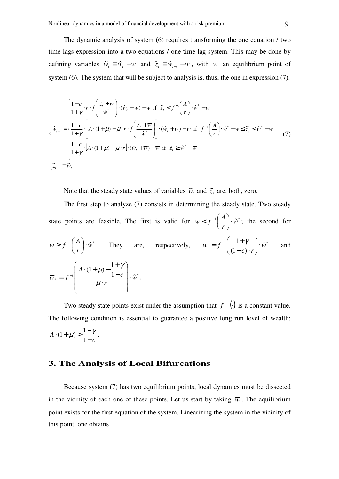The dynamic analysis of system (6) requires transforming the one equation / two time lags expression into a two equations / one time lag system. This may be done by defining variables  $\tilde{w}_t \equiv \hat{w}_t - \overline{w}$  and  $\tilde{z}_t \equiv \hat{w}_{t-1} - \overline{w}$ , with  $\overline{w}$  an equilibrium point of system (6). The system that will be subject to analysis is, thus, the one in expression (7).

$$
\begin{cases}\n\frac{1-c}{1+\gamma} \cdot r \cdot f\left(\frac{\tilde{z}_t + \overline{w}}{\hat{w}^*}\right) \cdot (\hat{w}_t + \overline{w}) - \overline{w} & \text{if } \tilde{z}_t < f^{-1}\left(\frac{A}{r}\right) \cdot \hat{w}^* - \overline{w} \\
\hat{w}_{t+1} &= \begin{cases}\n\frac{1-c}{1+\gamma} \cdot \left[A \cdot (1+\mu) - \mu \cdot r \cdot f\left(\frac{\tilde{z}_t + \overline{w}}{\hat{w}^*}\right)\right] \cdot (\hat{w}_t + \overline{w}) - \overline{w} & \text{if } f^{-1}\left(\frac{A}{r}\right) \cdot \hat{w}^* - \overline{w} \le \tilde{z}_t < \hat{w}^* - \overline{w} \\
\frac{1-c}{1+\gamma} \cdot \left[A \cdot (1+\mu) - \mu \cdot r\right] \cdot (\hat{w}_t + \overline{w}) - \overline{w} & \text{if } \tilde{z}_t \ge \hat{w}^* - \overline{w} \\
\tilde{z}_{t+1} &= \tilde{w}_t\n\end{cases}\n\tag{7}
$$

Note that the steady state values of variables  $\tilde{w}_t$  and  $\tilde{z}_t$  are, both, zero.

The first step to analyze (7) consists in determining the steady state. Two steady state points are feasible. The first is valid for  $\overline{w} < f^{-1} \left| \frac{A}{v} \right| \cdot \hat{w}^*$ *r*  $\overline{w}$  *< f*<sup>-1</sup> $\left(\frac{A}{A}\right)$ . J  $\left(\frac{A}{A}\right)$ l ſ  $\langle f^{-1} \vert \frac{A}{\vert \psi \vert} \cdot \hat{w}^*$ ; the second for  $\left| \frac{\mathbf{a}}{\mathbf{b}} \right| \cdot \hat{\mathbf{w}}^*$ *r*  $\overline{w} \geq f^{-1} \left( \frac{A}{A} \right)$ . J  $\left(\frac{A}{A}\right)$ l ſ  $\geq f^{-1}\left[\frac{A}{n}\right]\cdot \hat{w}^*$ . They are, respectively,  $\overline{w}_1 = f^{-1}\left[\frac{1+f}{(1-f)^2}\right]\cdot \hat{w}^*$  $(1 - c)$  $\frac{1+\gamma}{\lambda}$ .  $\hat{w}$  $c) \cdot r$  $\overline{w}_1 = f^{-1} \left( \frac{1 + \gamma}{(1 - \gamma)^{1/2}} \right)$ . J  $\backslash$  $\overline{\phantom{a}}$ l ſ  $-c)$ .  $= f^{-1}\left(\frac{1+\gamma}{\gamma}\right)$  and 1  $1 - C$   $\therefore$  \*  $\hat{v}_2 = f^{-1}$   $\frac{1-c}{1} \cdot \hat{w}$  $(1 + \mu) - \frac{1}{4}$ *w r c A*  $\overline{w}_2 = f^{-1}$   $\overline{w}_2 = f^{-1}$   $\overline{w}_1$  $\overline{\phantom{a}}$  $\overline{\phantom{a}}$  $\overline{\phantom{a}}$  $\overline{\phantom{a}}$ J  $\backslash$  $\mathsf{I}$  $\mathsf{I}$  $\mathbf{I}$  $\mathsf{I}$ l ſ ⋅ −  $\cdot (1 + \mu) - \frac{1 + \mu}{1 - \mu}$  $=f^{-}$  $\mu$  $\mu$ ) –  $\frac{1+\gamma}{1-\gamma}$ .

Two steady state points exist under the assumption that  $f^{-1}(\cdot)$  is a constant value. The following condition is essential to guarantee a positive long run level of wealth: *c A* −  $\cdot (1 + \mu) > \frac{1 + \mu}{1 - \mu}$ 1  $(1+\mu) > \frac{1+\gamma}{1-\lambda}$ .

## **3. The Analysis of Local Bifurcations**

Because system (7) has two equilibrium points, local dynamics must be dissected in the vicinity of each one of these points. Let us start by taking  $\overline{w}_1$ . The equilibrium point exists for the first equation of the system. Linearizing the system in the vicinity of this point, one obtains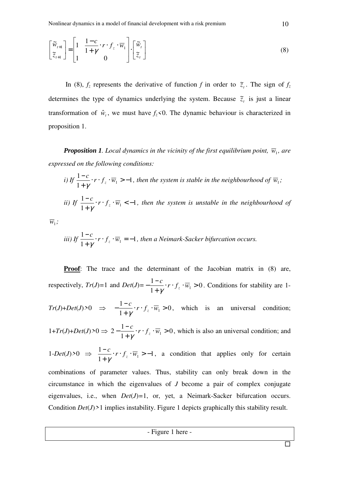$$
\begin{bmatrix} \widetilde{w}_{t+1} \\ \widetilde{z}_{t+1} \end{bmatrix} = \begin{bmatrix} 1 & \frac{1-c}{1+\gamma} \cdot r \cdot f_z \cdot \overline{w}_1 \\ 1 & 0 \end{bmatrix} \cdot \begin{bmatrix} \widetilde{w}_t \\ \widetilde{z}_t \end{bmatrix}
$$
 (8)

In (8),  $f_z$  represents the derivative of function *f* in order to  $\tilde{z}_t$ . The sign of  $f_z$ determines the type of dynamics underlying the system. Because  $\tilde{z}_t$  is just a linear transformation of  $\hat{w}_t$ , we must have  $f_z \le 0$ . The dynamic behaviour is characterized in proposition 1.

**Proposition 1.** Local dynamics in the vicinity of the first equilibrium point,  $\overline{w}_1$ , are *expressed on the following conditions:* 

*i)* If 
$$
\frac{1-c}{1+\gamma} \cdot r \cdot f_z \cdot \overline{w}_1 > -1
$$
, then the system is stable in the neighbourhood of  $\overline{w}_1$ ;  
\n*ii)* If  $\frac{1-c}{1+\gamma} \cdot r \cdot f_z \cdot \overline{w}_1 < -1$ , then the system is unstable in the neighbourhood of

 $\overline{w}_1$ ;

*iii)* If 
$$
\frac{1-c}{1+\gamma} \cdot r \cdot f_z \cdot \overline{w}_1 = -1
$$
, then a Neimark-Sacker bifurcation occurs.

**Proof**: The trace and the determinant of the Jacobian matrix in (8) are, respectively,  $Tr(J)=1$  and  $Det(J)=-\frac{1}{4}$   $\cdots$   $\cdots$   $f_{7}$   $\cdot \overline{w}_{1}>0$ 1  $\frac{1-c}{1+\gamma} \cdot r \cdot f_z \cdot \overline{w}_1 >$  $-\frac{1-c}{r} \cdot r \cdot f_{\zeta} \cdot \overline{w}$ *z* γ . Conditions for stability are 1-  $Tr(J)+Det(J) > 0 \implies -\frac{1-c}{2} \cdot r \cdot f(\sqrt{w_1}) > 0$ 1  $\frac{1-c}{1+\gamma} \cdot r \cdot f_z \cdot \overline{w}_1 >$  $-\frac{1-c}{r} \cdot r \cdot f_{\zeta} \cdot \overline{w}$ *z* γ , which is an universal condition;  $1+Tr(J)+Det(J) > 0 \Rightarrow 2-\frac{1-\epsilon}{f} \cdot r \cdot f(\sqrt{w_1}) > 0$ 1  $2-\frac{1-c}{1+\gamma}\cdot r\cdot f_z\cdot \overline{w}_1>$  $-\frac{1-c}{r} \cdot r \cdot f_{\zeta} \cdot \overline{w}$ *z* γ , which is also an universal condition; and  $1$ *-Det*(*J*)>0  $\Rightarrow \frac{1-c}{4}$ *·r·f<sub><i>z*</sub></sub> · $\overline{w_1}$  > -1 1  $\frac{1-c}{1+\gamma} \cdot r \cdot f_z \cdot \overline{w}_1 > \frac{-c}{r} \cdot r \cdot f_{\zeta} \cdot \overline{w}$ *z* γ , a condition that applies only for certain combinations of parameter values. Thus, stability can only break down in the circumstance in which the eigenvalues of *J* become a pair of complex conjugate eigenvalues, i.e., when  $Det(J)=1$ , or, yet, a Neimark-Sacker bifurcation occurs. Condition *Det*(*J*)*>*1 implies instability. Figure 1 depicts graphically this stability result.

- Figure 1 here -

 $\overline{\blacksquare}$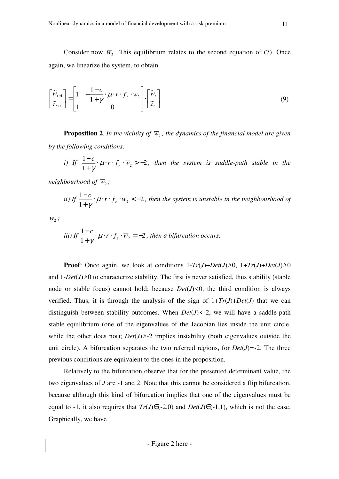Consider now  $\overline{w}_2$ . This equilibrium relates to the second equation of (7). Once again, we linearize the system, to obtain

$$
\begin{bmatrix} \widetilde{w}_{t+1} \\ \widetilde{z}_{t+1} \end{bmatrix} = \begin{bmatrix} 1 & -\frac{1-c}{1+\gamma} \cdot \mu \cdot r \cdot f_z \cdot \overline{w}_2 \\ 1 & 0 \end{bmatrix} \cdot \begin{bmatrix} \widetilde{w}_t \\ \widetilde{z}_t \end{bmatrix}
$$
(9)

**Proposition 2.** In the vicinity of  $\overline{w}_2$ , the dynamics of the financial model are given *by the following conditions:*

*i)* If 
$$
\frac{1-c}{1+\gamma} \cdot \mu \cdot r \cdot f_z \cdot \overline{w}_2 > -2
$$
, then the system is saddle-path stable in the

neighbourhood of  $\overline{w}_2$  ;

*ii)* If 
$$
\frac{1-c}{1+\gamma} \cdot \mu \cdot r \cdot f_z \cdot \overline{w}_2 < -2
$$
, then the system is unstable in the neighbourhood of

 $\overline{w}_{2}$  ;

*iii)* If 
$$
\frac{1-c}{1+\gamma} \cdot \mu \cdot r \cdot f_z \cdot \overline{w}_2 = -2
$$
, then a bifurcation occurs.

**Proof**: Once again, we look at conditions  $1-Tr(J)+Det(J) \ge 0$ ,  $1+Tr(J)+Det(J) \ge 0$ and  $1$ *-Det*(*J*) $>0$  to characterize stability. The first is never satisfied, thus stability (stable node or stable focus) cannot hold; because  $Det(J) \le 0$ , the third condition is always verified. Thus, it is through the analysis of the sign of  $1+Tr(J)+Det(J)$  that we can distinguish between stability outcomes. When  $Det(J) \leq 2$ , we will have a saddle-path stable equilibrium (one of the eigenvalues of the Jacobian lies inside the unit circle, while the other does not);  $Det(J)$  >-2 implies instability (both eigenvalues outside the unit circle). A bifurcation separates the two referred regions, for  $Det(J) = -2$ . The three previous conditions are equivalent to the ones in the proposition.

Relatively to the bifurcation observe that for the presented determinant value, the two eigenvalues of *J* are -1 and 2. Note that this cannot be considered a flip bifurcation, because although this kind of bifurcation implies that one of the eigenvalues must be equal to -1, it also requires that  $Tr(J) \in (-2,0)$  and  $Det(J) \in (-1,1)$ , which is not the case. Graphically, we have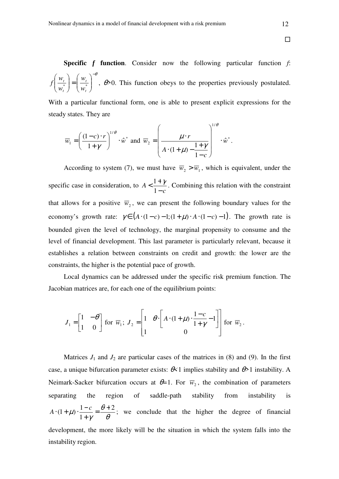**Specific** *f* **function**. Consider now the following particular function *f*: −θ  $\Bigg\}$ J  $\backslash$  $\overline{\phantom{a}}$  $\setminus$ ſ  $\vert$  = J  $\backslash$  $\overline{\phantom{a}}$  $\setminus$ ſ \* \* *t t t t w w w w*  $f\left(\frac{n_t}{n}\right) = \left|\frac{n_t}{n}\right|$ ,  $\theta > 0$ . This function obeys to the properties previously postulated.

With a particular functional form, one is able to present explicit expressions for the steady states. They are

$$
\overline{w}_1 = \left(\frac{(1-c)\cdot r}{1+\gamma}\right)^{1/\theta} \cdot \hat{w}^* \text{ and } \overline{w}_2 = \left(\frac{\mu\cdot r}{A\cdot(1+\mu)-\frac{1+\gamma}{1-c}}\right)^{1/\theta} \cdot \hat{w}^*.
$$

According to system (7), we must have  $\overline{w}_2 > \overline{w}_1$ , which is equivalent, under the specific case in consideration, to *c A* −  $\frac{1+}{1}$ 1  $\frac{1+\gamma}{\gamma}$ . Combining this relation with the constraint that allows for a positive  $\overline{w}_2$ , we can present the following boundary values for the economy's growth rate:  $\gamma \in (A \cdot (1 - c) - 1)(1 + \mu) \cdot A \cdot (1 - c) - 1)$ . The growth rate is bounded given the level of technology, the marginal propensity to consume and the level of financial development. This last parameter is particularly relevant, because it establishes a relation between constraints on credit and growth: the lower are the constraints, the higher is the potential pace of growth.

Local dynamics can be addressed under the specific risk premium function. The Jacobian matrices are, for each one of the equilibrium points:

$$
J_1 = \begin{bmatrix} 1 & -\theta \\ 1 & 0 \end{bmatrix}
$$
 for  $\overline{w}_1$ ;  $J_2 = \begin{bmatrix} 1 & \theta \cdot \begin{bmatrix} A \cdot (1+\mu) \cdot \frac{1-c}{1+\gamma} - 1 \\ 0 \end{bmatrix} \end{bmatrix}$  for  $\overline{w}_2$ .

Matrices  $J_1$  and  $J_2$  are particular cases of the matrices in (8) and (9). In the first case, a unique bifurcation parameter exists: θ*<*1 implies stability and θ*>*1 instability. A Neimark-Sacker bifurcation occurs at  $\theta=1$ . For  $\overline{w}_2$ , the combination of parameters separating the region of saddle-path stability from instability is θ θ γ  $\mu$ ).  $\frac{1-c}{1} = \frac{\theta+2}{2}$ 1  $(1+\mu)\cdot\frac{1-c}{1-\mu}=\frac{\theta+1}{2}$ +  $A \cdot (1 + \mu) \cdot \frac{1 - c}{1} = \frac{\theta + 2}{2}$ ; we conclude that the higher the degree of financial development, the more likely will be the situation in which the system falls into the instability region.

 $\Box$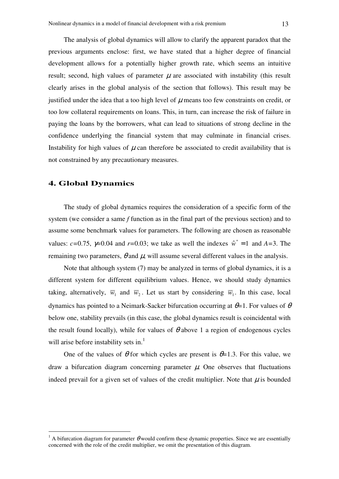The analysis of global dynamics will allow to clarify the apparent paradox that the previous arguments enclose: first, we have stated that a higher degree of financial development allows for a potentially higher growth rate, which seems an intuitive result; second, high values of parameter  $\mu$  are associated with instability (this result clearly arises in the global analysis of the section that follows). This result may be justified under the idea that a too high level of  $\mu$  means too few constraints on credit, or too low collateral requirements on loans. This, in turn, can increase the risk of failure in paying the loans by the borrowers, what can lead to situations of strong decline in the confidence underlying the financial system that may culminate in financial crises. Instability for high values of  $\mu$  can therefore be associated to credit availability that is not constrained by any precautionary measures.

## **4. Global Dynamics**

 $\overline{a}$ 

The study of global dynamics requires the consideration of a specific form of the system (we consider a same *f* function as in the final part of the previous section) and to assume some benchmark values for parameters. The following are chosen as reasonable values:  $c=0.75$ ,  $\gamma=0.04$  and  $r=0.03$ ; we take as well the indexes  $\hat{w}^* = 1$  and  $A=3$ . The remaining two parameters,  $\theta$  and  $\mu$ , will assume several different values in the analysis.

Note that although system (7) may be analyzed in terms of global dynamics, it is a different system for different equilibrium values. Hence, we should study dynamics taking, alternatively,  $\overline{w}_1$  and  $\overline{w}_2$ . Let us start by considering  $\overline{w}_1$ . In this case, local dynamics has pointed to a Neimark-Sacker bifurcation occurring at θ*=*1. For values of θ below one, stability prevails (in this case, the global dynamics result is coincidental with the result found locally), while for values of  $\theta$  above 1 a region of endogenous cycles will arise before instability sets in.<sup>1</sup>

One of the values of  $\theta$  for which cycles are present is  $\theta$ =1.3. For this value, we draw a bifurcation diagram concerning parameter  $\mu$ . One observes that fluctuations indeed prevail for a given set of values of the credit multiplier. Note that  $\mu$  is bounded

<sup>&</sup>lt;sup>1</sup> A bifurcation diagram for parameter  $\theta$  would confirm these dynamic properties. Since we are essentially concerned with the role of the credit multiplier, we omit the presentation of this diagram.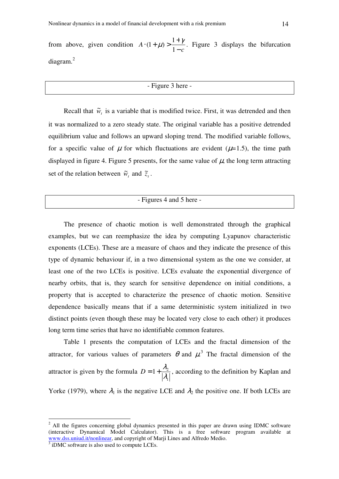from above, given condition *c A* −  $\cdot (1 + \mu) > \frac{1 + \mu}{1 - \mu}$ 1  $(1+\mu) > \frac{1+\gamma}{\lambda}$ . Figure 3 displays the bifurcation diagram.<sup>2</sup>

## - Figure 3 here -

Recall that  $\tilde{w}_t$  is a variable that is modified twice. First, it was detrended and then it was normalized to a zero steady state. The original variable has a positive detrended equilibrium value and follows an upward sloping trend. The modified variable follows, for a specific value of  $\mu$  for which fluctuations are evident ( $\mu$ =1.5), the time path displayed in figure 4. Figure 5 presents, for the same value of  $\mu$ , the long term attracting set of the relation between  $\tilde{w}_t$  and  $\tilde{z}_t$ .

## - Figures 4 and 5 here -

The presence of chaotic motion is well demonstrated through the graphical examples, but we can reemphasize the idea by computing Lyapunov characteristic exponents (LCEs). These are a measure of chaos and they indicate the presence of this type of dynamic behaviour if, in a two dimensional system as the one we consider, at least one of the two LCEs is positive. LCEs evaluate the exponential divergence of nearby orbits, that is, they search for sensitive dependence on initial conditions, a property that is accepted to characterize the presence of chaotic motion. Sensitive dependence basically means that if a same deterministic system initialized in two distinct points (even though these may be located very close to each other) it produces long term time series that have no identifiable common features.

Table 1 presents the computation of LCEs and the fractal dimension of the attractor, for various values of parameters  $\theta$  and  $\mu^3$ . The fractal dimension of the attractor is given by the formula 1  $1+\frac{\lambda_2}{\lambda_1}$  $D = 1 + \frac{\lambda_2}{\lambda_1 - \lambda_2}$ , according to the definition by Kaplan and

Yorke (1979), where  $\lambda_1$  is the negative LCE and  $\lambda_2$  the positive one. If both LCEs are

 $\overline{a}$ 

 $2$  All the figures concerning global dynamics presented in this paper are drawn using IDMC software (interactive Dynamical Model Calculator). This is a free software program available at www.dss.uniud.it/nonlinear, and copyright of Marji Lines and Alfredo Medio.

<sup>&</sup>lt;sup>3</sup> iDMC software is also used to compute LCEs.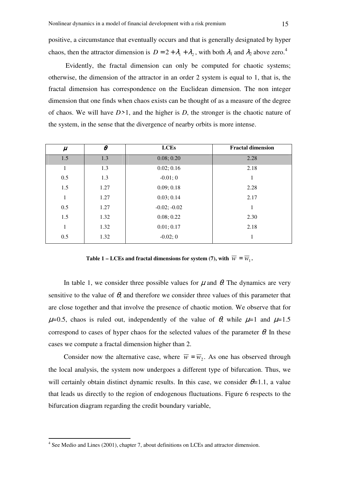positive, a circumstance that eventually occurs and that is generally designated by hyper chaos, then the attractor dimension is  $D = 2 + \lambda_1 + \lambda_2$ , with both  $\lambda_1$  and  $\lambda_2$  above zero.<sup>4</sup>

 Evidently, the fractal dimension can only be computed for chaotic systems; otherwise, the dimension of the attractor in an order 2 system is equal to 1, that is, the fractal dimension has correspondence on the Euclidean dimension. The non integer dimension that one finds when chaos exists can be thought of as a measure of the degree of chaos. We will have *D>*1, and the higher is *D*, the stronger is the chaotic nature of the system, in the sense that the divergence of nearby orbits is more intense.

| $\mu$        | $\boldsymbol{\theta}$ | <b>LCEs</b>    | <b>Fractal dimension</b> |  |
|--------------|-----------------------|----------------|--------------------------|--|
| 1.5          | 1.3                   | 0.08; 0.20     | 2.28                     |  |
| $\mathbf{1}$ | 1.3                   | 0.02; 0.16     | 2.18                     |  |
| 0.5          | 1.3                   | $-0.01;0$      | 1                        |  |
| 1.5          | 1.27                  | 0.09; 0.18     | 2.28                     |  |
| $\mathbf{1}$ | 1.27                  | 0.03; 0.14     | 2.17                     |  |
| 0.5          | 1.27                  | $-0.02; -0.02$ | 1                        |  |
| 1.5          | 1.32                  | 0.08; 0.22     | 2.30                     |  |
| $\mathbf{1}$ | 1.32                  | 0.01; 0.17     | 2.18                     |  |
| 0.5          | 1.32                  | $-0.02;0$      | 1                        |  |

Table 1 – LCEs and fractal dimensions for system (7), with  $\overline{w} = \overline{w}_1$ .

In table 1, we consider three possible values for  $\mu$  and  $\theta$ . The dynamics are very sensitive to the value of  $\theta$ , and therefore we consider three values of this parameter that are close together and that involve the presence of chaotic motion. We observe that for  $\mu$ =0.5, chaos is ruled out, independently of the value of  $\theta$ , while  $\mu$ =1 and  $\mu$ =1.5 correspond to cases of hyper chaos for the selected values of the parameter  $\theta$ . In these cases we compute a fractal dimension higher than 2.

Consider now the alternative case, where  $\overline{w} = \overline{w}_2$ . As one has observed through the local analysis, the system now undergoes a different type of bifurcation. Thus, we will certainly obtain distinct dynamic results. In this case, we consider  $\theta = 1.1$ , a value that leads us directly to the region of endogenous fluctuations. Figure 6 respects to the bifurcation diagram regarding the credit boundary variable,

 $\overline{a}$ 

<sup>&</sup>lt;sup>4</sup> See Medio and Lines (2001), chapter 7, about definitions on LCEs and attractor dimension.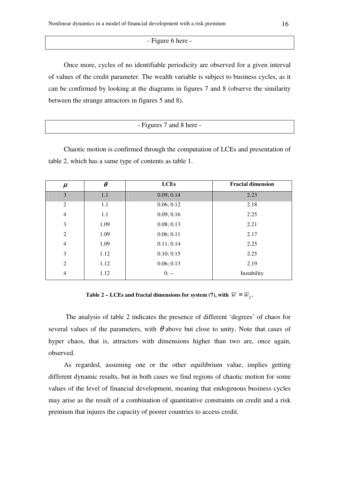- Figure 6 here -

Once more, cycles of no identifiable periodicity are observed for a given interval of values of the credit parameter. The wealth variable is subject to business cycles, as it can be confirmed by looking at the diagrams in figures 7 and 8 (observe the similarity between the strange attractors in figures 5 and 8).

| - Figures 7 and 8 here - |
|--------------------------|
|                          |

Chaotic motion is confirmed through the computation of LCEs and presentation of table 2, which has a same type of contents as table 1.

| $\mu$          | $\theta$ | <b>LCEs</b> | <b>Fractal dimension</b> |  |
|----------------|----------|-------------|--------------------------|--|
| 3              | 1.1      | 0.09; 0.14  | 2.23                     |  |
| 2              | 1.1      | 0.06; 0.12  | 2.18                     |  |
| $\overline{4}$ | 1.1      | 0.09; 0.16  | 2.25                     |  |
| 3              | 1.09     | 0.08; 0.13  | 2.21                     |  |
| 2              | 1.09     | 0.06; 0.11  | 2.17                     |  |
| $\overline{4}$ | 1.09     | 0.11; 0.14  | 2.25                     |  |
| 3              | 1.12     | 0.10; 0.15  | 2.25                     |  |
| 2              | 1.12     | 0.06; 0.13  | 2.19                     |  |
| $\overline{4}$ | 1.12     | $0; -$      | Instability              |  |

Table 2 – LCEs and fractal dimensions for system (7), with  $\overline{w} = \overline{w}_2$ .

 The analysis of table 2 indicates the presence of different 'degrees' of chaos for several values of the parameters, with  $\theta$  above but close to unity. Note that cases of hyper chaos, that is, attractors with dimensions higher than two are, once again, observed.

As regarded, assuming one or the other equilibrium value, implies getting different dynamic results, but in both cases we find regions of chaotic motion for some values of the level of financial development, meaning that endogenous business cycles may arise as the result of a combination of quantitative constraints on credit and a risk premium that injures the capacity of poorer countries to access credit.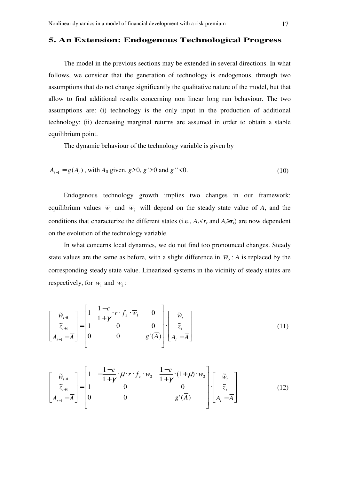#### **5. An Extension: Endogenous Technological Progress**

The model in the previous sections may be extended in several directions. In what follows, we consider that the generation of technology is endogenous, through two assumptions that do not change significantly the qualitative nature of the model, but that allow to find additional results concerning non linear long run behaviour. The two assumptions are: (i) technology is the only input in the production of additional technology; (ii) decreasing marginal returns are assumed in order to obtain a stable equilibrium point.

The dynamic behaviour of the technology variable is given by

$$
A_{t+1} = g(A_t), \text{ with } A_0 \text{ given, } g > 0, g' > 0 \text{ and } g'' < 0. \tag{10}
$$

Endogenous technology growth implies two changes in our framework: equilibrium values  $\overline{w}_1$  and  $\overline{w}_2$  will depend on the steady state value of *A*, and the conditions that characterize the different states (i.e.,  $A_t \le r_t$  and  $A_t \ge r_t$ ) are now dependent on the evolution of the technology variable.

In what concerns local dynamics, we do not find too pronounced changes. Steady state values are the same as before, with a slight difference in  $\overline{w}_2$ : *A* is replaced by the corresponding steady state value. Linearized systems in the vicinity of steady states are respectively, for  $\overline{w}_1$  and  $\overline{w}_2$ :

$$
\begin{bmatrix} \widetilde{w}_{t+1} \\ \widetilde{z}_{t+1} \\ A_{t+1} - \overline{A} \end{bmatrix} = \begin{bmatrix} 1 & \frac{1-c}{1+\gamma} \cdot r \cdot f_z \cdot \overline{w}_1 & 0 \\ 1 & 0 & 0 \\ 0 & 0 & g'(\overline{A}) \end{bmatrix} \cdot \begin{bmatrix} \widetilde{w}_t \\ \widetilde{z}_t \\ A_t - \overline{A} \end{bmatrix}
$$
(11)

$$
\begin{bmatrix} \widetilde{w}_{t+1} \\ \widetilde{z}_{t+1} \\ A_{t+1} - \overline{A} \end{bmatrix} = \begin{bmatrix} 1 & -\frac{1-c}{1+\gamma} \cdot \mu \cdot r \cdot f_z \cdot \overline{w}_2 & \frac{1-c}{1+\gamma} \cdot (1+\mu) \cdot \overline{w}_2 \\ 1 & 0 & 0 \\ 0 & 0 & g'(\overline{A}) \end{bmatrix} \begin{bmatrix} \widetilde{w}_t \\ \widetilde{z}_t \\ A_t - \overline{A} \end{bmatrix}
$$
(12)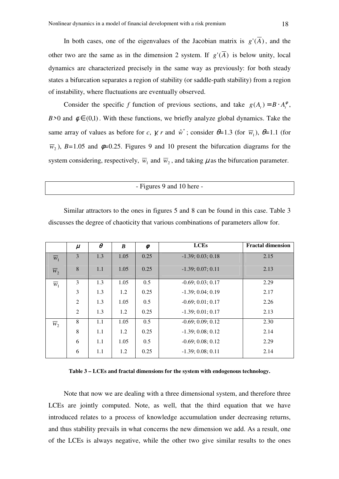In both cases, one of the eigenvalues of the Jacobian matrix is  $g'(\overline{A})$ , and the other two are the same as in the dimension 2 system. If  $g'(\overline{A})$  is below unity, local dynamics are characterized precisely in the same way as previously: for both steady states a bifurcation separates a region of stability (or saddle-path stability) from a region of instability, where fluctuations are eventually observed.

Consider the specific *f* function of previous sections, and take  $g(A_t) = B \cdot A_t^{\phi}$ , *B*>0 and  $\phi \in (0,1)$ . With these functions, we briefly analyze global dynamics. Take the same array of values as before for *c*,  $\gamma$ , *r* and  $\hat{w}^*$ ; consider  $\theta = 1.3$  (for  $\overline{w}_1$ ),  $\theta = 1.1$  (for  $\overline{w}_2$ ), *B*=1.05 and  $\phi$ =0.25. Figures 9 and 10 present the bifurcation diagrams for the system considering, respectively,  $\overline{w}_1$  and  $\overline{w}_2$ , and taking  $\mu$  as the bifurcation parameter.

- Figures 9 and 10 here -

Similar attractors to the ones in figures 5 and 8 can be found in this case. Table 3 discusses the degree of chaoticity that various combinations of parameters allow for.

|                    | $\mu$ | $\theta$ | $\boldsymbol{B}$ | $\phi$ | <b>LCEs</b>         | <b>Fractal dimension</b> |
|--------------------|-------|----------|------------------|--------|---------------------|--------------------------|
| $\overline{w}_1$   | 3     | 1.3      | 1.05             | 0.25   | $-1.39; 0.03; 0.18$ | 2.15                     |
| $\overline{w}_{2}$ | 8     | 1.1      | 1.05             | 0.25   | $-1.39; 0.07; 0.11$ | 2.13                     |
| $\overline{w}_1$   | 3     | 1.3      | 1.05             | 0.5    | $-0.69; 0.03; 0.17$ | 2.29                     |
|                    | 3     | 1.3      | 1.2              | 0.25   | $-1.39; 0.04; 0.19$ | 2.17                     |
|                    | 2     | 1.3      | 1.05             | 0.5    | $-0.69; 0.01; 0.17$ | 2.26                     |
|                    | 2     | 1.3      | 1.2              | 0.25   | $-1.39; 0.01; 0.17$ | 2.13                     |
| $\overline{w}_2$   | 8     | 1.1      | 1.05             | 0.5    | $-0.69; 0.09; 0.12$ | 2.30                     |
|                    | 8     | 1.1      | 1.2              | 0.25   | $-1.39; 0.08; 0.12$ | 2.14                     |
|                    | 6     | 1.1      | 1.05             | 0.5    | $-0.69; 0.08; 0.12$ | 2.29                     |
|                    | 6     | 1.1      | 1.2              | 0.25   | $-1.39; 0.08; 0.11$ | 2.14                     |

**Table 3 – LCEs and fractal dimensions for the system with endogenous technology.** 

Note that now we are dealing with a three dimensional system, and therefore three LCEs are jointly computed. Note, as well, that the third equation that we have introduced relates to a process of knowledge accumulation under decreasing returns, and thus stability prevails in what concerns the new dimension we add. As a result, one of the LCEs is always negative, while the other two give similar results to the ones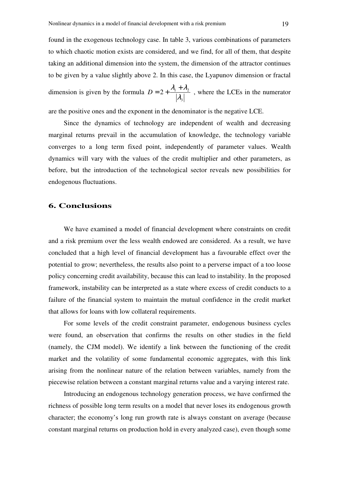found in the exogenous technology case. In table 3, various combinations of parameters to which chaotic motion exists are considered, and we find, for all of them, that despite taking an additional dimension into the system, the dimension of the attractor continues to be given by a value slightly above 2. In this case, the Lyapunov dimension or fractal dimension is given by the formula 3  $2+\frac{\lambda_1+\lambda_2}{|\lambda_2|}$  $D = 2 + \frac{\lambda_1 + \lambda_2}{\lambda_1 + \lambda_2}$ , where the LCEs in the numerator

are the positive ones and the exponent in the denominator is the negative LCE.

Since the dynamics of technology are independent of wealth and decreasing marginal returns prevail in the accumulation of knowledge, the technology variable converges to a long term fixed point, independently of parameter values. Wealth dynamics will vary with the values of the credit multiplier and other parameters, as before, but the introduction of the technological sector reveals new possibilities for endogenous fluctuations.

## **6. Conclusions**

We have examined a model of financial development where constraints on credit and a risk premium over the less wealth endowed are considered. As a result, we have concluded that a high level of financial development has a favourable effect over the potential to grow; nevertheless, the results also point to a perverse impact of a too loose policy concerning credit availability, because this can lead to instability. In the proposed framework, instability can be interpreted as a state where excess of credit conducts to a failure of the financial system to maintain the mutual confidence in the credit market that allows for loans with low collateral requirements.

For some levels of the credit constraint parameter, endogenous business cycles were found, an observation that confirms the results on other studies in the field (namely, the CJM model). We identify a link between the functioning of the credit market and the volatility of some fundamental economic aggregates, with this link arising from the nonlinear nature of the relation between variables, namely from the piecewise relation between a constant marginal returns value and a varying interest rate.

Introducing an endogenous technology generation process, we have confirmed the richness of possible long term results on a model that never loses its endogenous growth character; the economy's long run growth rate is always constant on average (because constant marginal returns on production hold in every analyzed case), even though some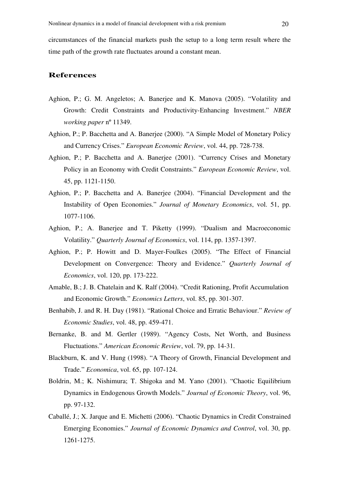circumstances of the financial markets push the setup to a long term result where the time path of the growth rate fluctuates around a constant mean.

## **References**

- Aghion, P.; G. M. Angeletos; A. Banerjee and K. Manova (2005). "Volatility and Growth: Credit Constraints and Productivity-Enhancing Investment." *NBER working paper* nº 11349.
- Aghion, P.; P. Bacchetta and A. Banerjee (2000). "A Simple Model of Monetary Policy and Currency Crises." *European Economic Review*, vol. 44, pp. 728-738.
- Aghion, P.; P. Bacchetta and A. Banerjee (2001). "Currency Crises and Monetary Policy in an Economy with Credit Constraints." *European Economic Review*, vol. 45, pp. 1121-1150.
- Aghion, P.; P. Bacchetta and A. Banerjee (2004). "Financial Development and the Instability of Open Economies." *Journal of Monetary Economics*, vol. 51, pp. 1077-1106.
- Aghion, P.; A. Banerjee and T. Piketty (1999). "Dualism and Macroeconomic Volatility." *Quarterly Journal of Economics*, vol. 114, pp. 1357-1397.
- Aghion, P.; P. Howitt and D. Mayer-Foulkes (2005). "The Effect of Financial Development on Convergence: Theory and Evidence." *Quarterly Journal of Economics*, vol. 120, pp. 173-222.
- Amable, B.; J. B. Chatelain and K. Ralf (2004). "Credit Rationing, Profit Accumulation and Economic Growth." *Economics Letters*, vol. 85, pp. 301-307.
- Benhabib, J. and R. H. Day (1981). "Rational Choice and Erratic Behaviour." *Review of Economic Studies*, vol. 48, pp. 459-471.
- Bernanke, B. and M. Gertler (1989). "Agency Costs, Net Worth, and Business Fluctuations." *American Economic Review*, vol. 79, pp. 14-31.
- Blackburn, K. and V. Hung (1998). "A Theory of Growth, Financial Development and Trade." *Economica*, vol. 65, pp. 107-124.
- Boldrin, M.; K. Nishimura; T. Shigoka and M. Yano (2001). "Chaotic Equilibrium Dynamics in Endogenous Growth Models." *Journal of Economic Theory*, vol. 96, pp. 97-132.
- Caballé, J.; X. Jarque and E. Michetti (2006). "Chaotic Dynamics in Credit Constrained Emerging Economies." *Journal of Economic Dynamics and Control*, vol. 30, pp. 1261-1275.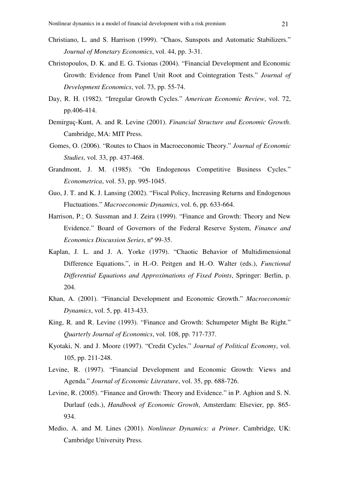- Christiano, L. and S. Harrison (1999). "Chaos, Sunspots and Automatic Stabilizers." *Journal of Monetary Economics*, vol. 44, pp. 3-31.
- Christopoulos, D. K. and E. G. Tsionas (2004). "Financial Development and Economic Growth: Evidence from Panel Unit Root and Cointegration Tests." *Journal of Development Economics*, vol. 73, pp. 55-74.
- Day, R. H. (1982). "Irregular Growth Cycles." *American Economic Review*, vol. 72, pp.406-414.
- Demirguç-Kunt, A. and R. Levine (2001). *Financial Structure and Economic Growth*. Cambridge, MA: MIT Press.
- Gomes, O. (2006). "Routes to Chaos in Macroeconomic Theory." *Journal of Economic Studies*, vol. 33, pp. 437-468.
- Grandmont, J. M. (1985). "On Endogenous Competitive Business Cycles." *Econometrica*, vol. 53, pp. 995-1045.
- Guo, J. T. and K. J. Lansing (2002). "Fiscal Policy, Increasing Returns and Endogenous Fluctuations." *Macroeconomic Dynamics*, vol. 6, pp. 633-664.
- Harrison, P.; O. Sussman and J. Zeira (1999). "Finance and Growth: Theory and New Evidence." Board of Governors of the Federal Reserve System, *Finance and Economics Discussion Series*, nº 99-35.
- Kaplan, J. L. and J. A. Yorke (1979). "Chaotic Behavior of Multidimensional Difference Equations.", in H.-O. Peitgen and H.-O. Walter (eds.), *Functional Differential Equations and Approximations of Fixed Points*, Springer: Berlin, p. 204.
- Khan, A. (2001). "Financial Development and Economic Growth." *Macroeconomic Dynamics*, vol. 5, pp. 413-433.
- King, R. and R. Levine (1993). "Finance and Growth: Schumpeter Might Be Right." *Quarterly Journal of Economics*, vol. 108, pp. 717-737.
- Kyotaki, N. and J. Moore (1997). "Credit Cycles." *Journal of Political Economy*, vol. 105, pp. 211-248.
- Levine, R. (1997). "Financial Development and Economic Growth: Views and Agenda." *Journal of Economic Literature*, vol. 35, pp. 688-726.
- Levine, R. (2005). "Finance and Growth: Theory and Evidence." in P. Aghion and S. N. Durlauf (eds.), *Handbook of Economic Growth*, Amsterdam: Elsevier, pp. 865- 934.
- Medio, A. and M. Lines (2001). *Nonlinear Dynamics: a Primer*. Cambridge, UK: Cambridge University Press.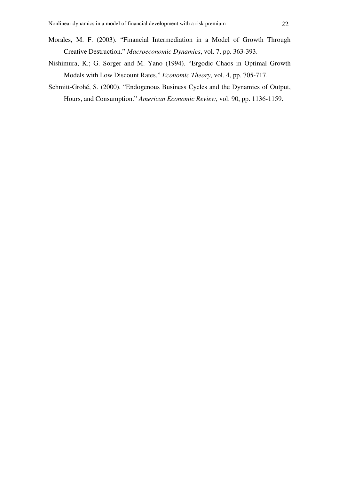- Morales, M. F. (2003). "Financial Intermediation in a Model of Growth Through Creative Destruction." *Macroeconomic Dynamics*, vol. 7, pp. 363-393.
- Nishimura, K.; G. Sorger and M. Yano (1994). "Ergodic Chaos in Optimal Growth Models with Low Discount Rates." *Economic Theory*, vol. 4, pp. 705-717.
- Schmitt-Grohé, S. (2000). "Endogenous Business Cycles and the Dynamics of Output, Hours, and Consumption." *American Economic Review*, vol. 90, pp. 1136-1159.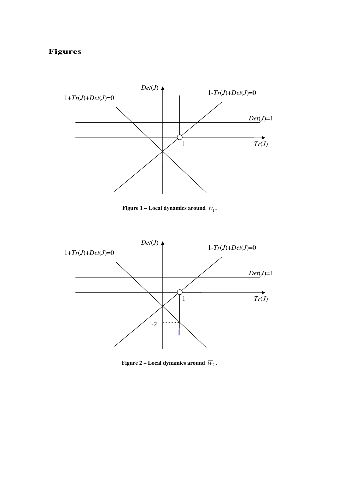## **Figures**



**Figure 1 – Local dynamics around**  $\overline{w}_1$ **.** 



Figure 2 – Local dynamics around  $\overline{w}_2$  .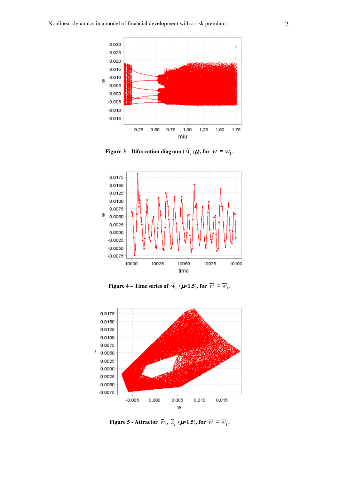

**Figure 3 – Bifurcation diagram** (  $\widetilde{W}_t$  **;#), for**  $\overline{W} = \overline{W}_1$  .



**Figure 4 – Time series of**  $\widetilde{w}_t$  ( $\mu$ =1.5), for  $\overline{w} = \overline{w}_1$ .



**Figure 5 - Attractor**  $\widetilde{w}_t$ ,  $\widetilde{z}_t$  ( $\mu$ =1.5), for  $\overline{w} = \overline{w}_1$ .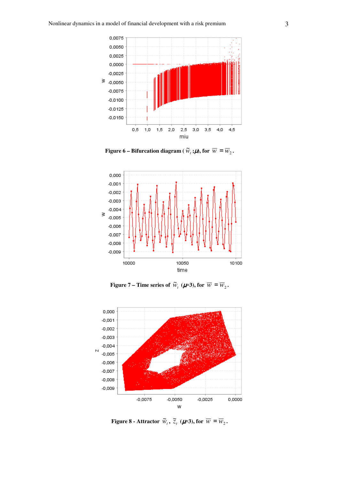

**Figure 6 – Bifurcation diagram** (  $\widetilde{W}_t$  **;#**), for  $\overline{W} = \overline{W}_2$ .



**Figure 7** – Time series of  $\widetilde{w}_t$  ( $\mu$ =3), for  $\overline{w} = \overline{w}_2$ .



**Figure 8 - Attractor**  $\widetilde{W}_t$ ,  $\widetilde{Z}_t$  ( $\mu$ =3), for  $\overline{W} = \overline{W}_2$ .